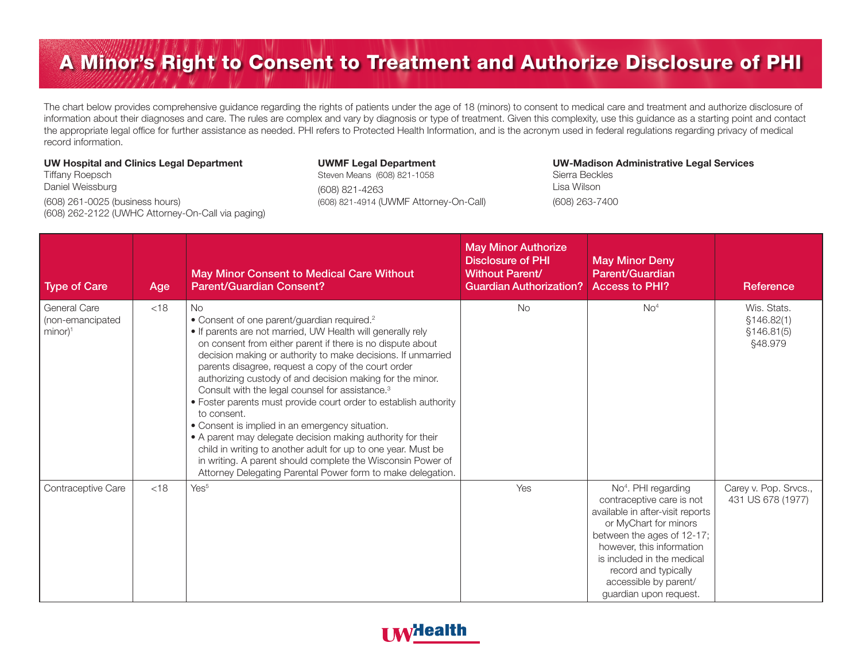## A Minor's Right to Consent to Treatment and Authorize Disclosure of PHI

The chart below provides comprehensive guidance regarding the rights of patients under the age of 18 (minors) to consent to medical care and treatment and authorize disclosure of information about their diagnoses and care. The rules are complex and vary by diagnosis or type of treatment. Given this complexity, use this guidance as a starting point and contact the appropriate legal office for further assistance as needed. PHI refers to Protected Health Information, and is the acronym used in federal regulations regarding privacy of medical record information.

## UW Hospital and Clinics Legal Department

Tiffany Roepsch Daniel Weissburg

(608) 261-0025 (business hours) (608) 262-2122 (UWHC Attorney-On-Call via paging)

## UWMF Legal Department

Steven Means (608) 821-1058 (608) 821-4263 (608) 821-4914 (UWMF Attorney-On-Call)

## UW-Madison Administrative Legal Services Sierra Beckles Lisa Wilson

(608) 263-7400

| <b>Type of Care</b>                                      | Age    | May Minor Consent to Medical Care Without<br><b>Parent/Guardian Consent?</b>                                                                                                                                                                                                                                                                                                                                                                                                                                                                                                                                                                                                                                                                                                                                                                      | <b>May Minor Authorize</b><br><b>Disclosure of PHI</b><br><b>Without Parent/</b><br><b>Guardian Authorization?</b> | <b>May Minor Deny</b><br>Parent/Guardian<br><b>Access to PHI?</b>                                                                                                                                                                                                                             | Reference                                            |
|----------------------------------------------------------|--------|---------------------------------------------------------------------------------------------------------------------------------------------------------------------------------------------------------------------------------------------------------------------------------------------------------------------------------------------------------------------------------------------------------------------------------------------------------------------------------------------------------------------------------------------------------------------------------------------------------------------------------------------------------------------------------------------------------------------------------------------------------------------------------------------------------------------------------------------------|--------------------------------------------------------------------------------------------------------------------|-----------------------------------------------------------------------------------------------------------------------------------------------------------------------------------------------------------------------------------------------------------------------------------------------|------------------------------------------------------|
| General Care<br>(non-emancipated<br>$minor$ <sup>1</sup> | $<$ 18 | No<br>• Consent of one parent/guardian required. <sup>2</sup><br>. If parents are not married, UW Health will generally rely<br>on consent from either parent if there is no dispute about<br>decision making or authority to make decisions. If unmarried<br>parents disagree, request a copy of the court order<br>authorizing custody of and decision making for the minor.<br>Consult with the legal counsel for assistance. <sup>3</sup><br>• Foster parents must provide court order to establish authority<br>to consent.<br>• Consent is implied in an emergency situation.<br>• A parent may delegate decision making authority for their<br>child in writing to another adult for up to one year. Must be<br>in writing. A parent should complete the Wisconsin Power of<br>Attorney Delegating Parental Power form to make delegation. | <b>No</b>                                                                                                          | No <sup>4</sup>                                                                                                                                                                                                                                                                               | Wis. Stats.<br>\$146.82(1)<br>\$146.81(5)<br>§48.979 |
| Contraceptive Care                                       | $<$ 18 | Yes <sup>5</sup>                                                                                                                                                                                                                                                                                                                                                                                                                                                                                                                                                                                                                                                                                                                                                                                                                                  | Yes                                                                                                                | No <sup>4</sup> . PHI regarding<br>contraceptive care is not<br>available in after-visit reports<br>or MyChart for minors<br>between the ages of 12-17;<br>however, this information<br>is included in the medical<br>record and typically<br>accessible by parent/<br>quardian upon request. | Carey v. Pop. Srvcs.,<br>431 US 678 (1977)           |

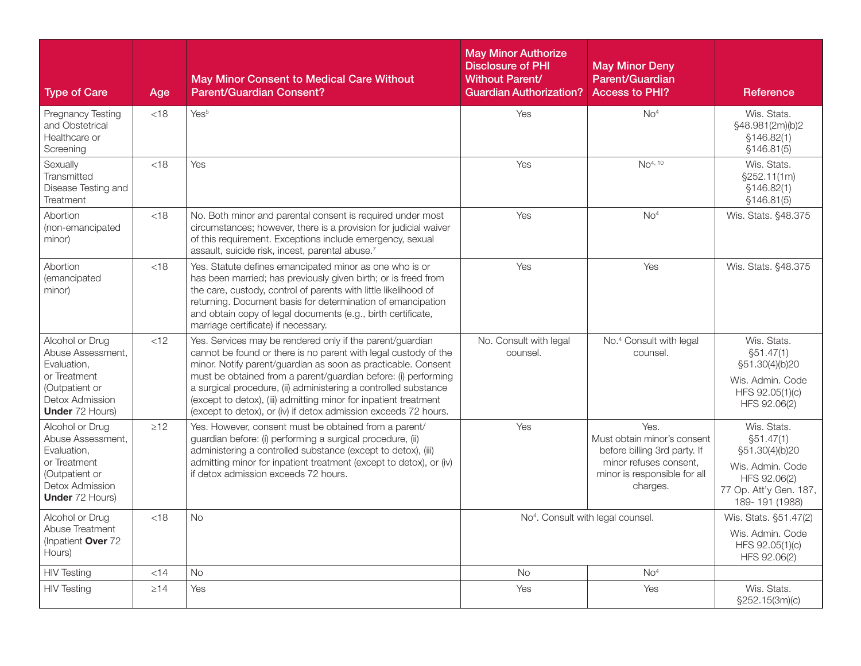| <b>Type of Care</b>                                                                                                                | Age       | <b>May Minor Consent to Medical Care Without</b><br><b>Parent/Guardian Consent?</b>                                                                                                                                                                                                                                                                                                                                                                                       | <b>May Minor Authorize</b><br><b>Disclosure of PHI</b><br><b>Without Parent/</b><br><b>Guardian Authorization?</b> | <b>May Minor Deny</b><br><b>Parent/Guardian</b><br><b>Access to PHI?</b>                                                                  | Reference                                                                                                                   |
|------------------------------------------------------------------------------------------------------------------------------------|-----------|---------------------------------------------------------------------------------------------------------------------------------------------------------------------------------------------------------------------------------------------------------------------------------------------------------------------------------------------------------------------------------------------------------------------------------------------------------------------------|--------------------------------------------------------------------------------------------------------------------|-------------------------------------------------------------------------------------------------------------------------------------------|-----------------------------------------------------------------------------------------------------------------------------|
| <b>Pregnancy Testing</b><br>and Obstetrical<br>Healthcare or<br>Screening                                                          | < 18      | Yes <sup>5</sup>                                                                                                                                                                                                                                                                                                                                                                                                                                                          | Yes                                                                                                                | No <sup>4</sup>                                                                                                                           | Wis. Stats.<br>§48.981(2m)(b)2<br>\$146.82(1)<br>\$146.81(5)                                                                |
| Sexually<br>Transmitted<br>Disease Testing and<br>Treatment                                                                        | < 18      | Yes                                                                                                                                                                                                                                                                                                                                                                                                                                                                       | Yes                                                                                                                | NO <sup>4, 10</sup>                                                                                                                       | Wis. Stats.<br>\$252.11(1m)<br>\$146.82(1)<br>\$146.81(5)                                                                   |
| Abortion<br>(non-emancipated<br>minor)                                                                                             | <18       | No. Both minor and parental consent is required under most<br>circumstances; however, there is a provision for judicial waiver<br>of this requirement. Exceptions include emergency, sexual<br>assault, suicide risk, incest, parental abuse.7                                                                                                                                                                                                                            | Yes                                                                                                                | No <sup>4</sup>                                                                                                                           | Wis. Stats. §48.375                                                                                                         |
| Abortion<br><i>(emancipated)</i><br>minor)                                                                                         | $<$ 18    | Yes. Statute defines emancipated minor as one who is or<br>has been married; has previously given birth; or is freed from<br>the care, custody, control of parents with little likelihood of<br>returning. Document basis for determination of emancipation<br>and obtain copy of legal documents (e.g., birth certificate,<br>marriage certificate) if necessary.                                                                                                        | Yes                                                                                                                | Yes                                                                                                                                       | Wis. Stats. §48.375                                                                                                         |
| Alcohol or Drug<br>Abuse Assessment.<br>Evaluation.<br>or Treatment<br>(Outpatient or<br>Detox Admission<br><b>Under 72 Hours)</b> | <12       | Yes. Services may be rendered only if the parent/guardian<br>cannot be found or there is no parent with legal custody of the<br>minor. Notify parent/guardian as soon as practicable. Consent<br>must be obtained from a parent/guardian before: (i) performing<br>a surgical procedure, (ii) administering a controlled substance<br>(except to detox), (iii) admitting minor for inpatient treatment<br>(except to detox), or (iv) if detox admission exceeds 72 hours. | No. Consult with legal<br>counsel.                                                                                 | No. <sup>4</sup> Consult with legal<br>counsel.                                                                                           | Wis. Stats.<br>\$51.47(1)<br>§51.30(4)(b)20<br>Wis. Admin. Code<br>HFS 92.05(1)(c)<br>HFS 92.06(2)                          |
| Alcohol or Drug<br>Abuse Assessment,<br>Evaluation,<br>or Treatment<br>(Outpatient or<br>Detox Admission<br><b>Under</b> 72 Hours) | $\geq$ 12 | Yes. However, consent must be obtained from a parent/<br>guardian before: (i) performing a surgical procedure, (ii)<br>administering a controlled substance (except to detox), (iii)<br>admitting minor for inpatient treatment (except to detox), or (iv)<br>if detox admission exceeds 72 hours.                                                                                                                                                                        | Yes                                                                                                                | Yes.<br>Must obtain minor's consent<br>before billing 3rd party. If<br>minor refuses consent.<br>minor is responsible for all<br>charges. | Wis. Stats.<br>\$51.47(1)<br>§51.30(4)(b)20<br>Wis. Admin. Code<br>HFS 92.06(2)<br>77 Op. Att'y Gen. 187,<br>189-191 (1988) |
| Alcohol or Drug<br>Abuse Treatment<br>(Inpatient Over 72<br>Hours)                                                                 | < 18      | <b>No</b>                                                                                                                                                                                                                                                                                                                                                                                                                                                                 | No <sup>4</sup> . Consult with legal counsel.                                                                      |                                                                                                                                           | Wis. Stats. §51.47(2)<br>Wis. Admin. Code<br>HFS 92.05(1)(c)<br>HFS 92.06(2)                                                |
| <b>HIV Testing</b>                                                                                                                 | $<$ 14    | <b>No</b>                                                                                                                                                                                                                                                                                                                                                                                                                                                                 | <b>No</b>                                                                                                          | No <sup>4</sup>                                                                                                                           |                                                                                                                             |
| <b>HIV Testing</b>                                                                                                                 | $\geq$ 14 | Yes                                                                                                                                                                                                                                                                                                                                                                                                                                                                       | Yes                                                                                                                | Yes                                                                                                                                       | Wis. Stats.<br>§252.15(3m)(c)                                                                                               |